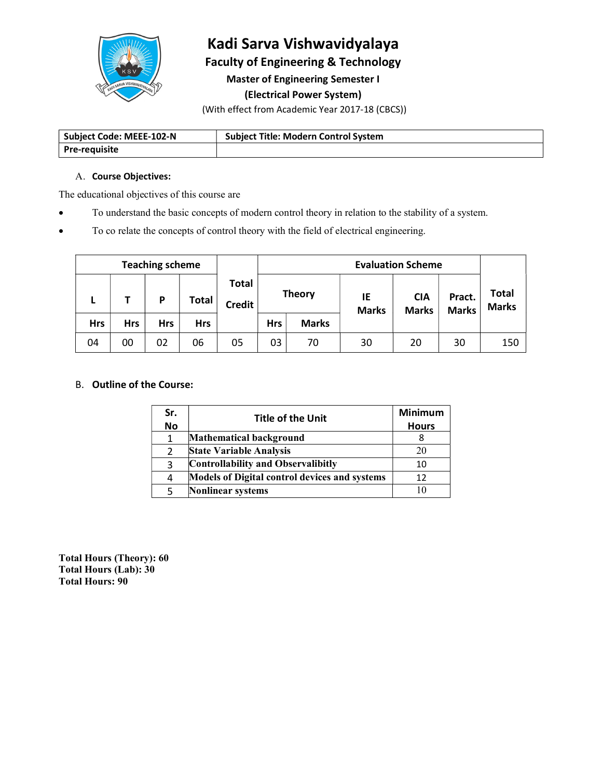

## Kadi Sarva Vishwavidyalaya Faculty of Engineering & Technology

Master of Engineering Semester I

## (Electrical Power System)

(With effect from Academic Year 2017-18 (CBCS))

| Subject Code: MEEE-102-N | <b>Subject Title: Modern Control System</b> |
|--------------------------|---------------------------------------------|
| <b>Pre-requisite</b>     |                                             |

### A. Course Objectives:

The educational objectives of this course are

- To understand the basic concepts of modern control theory in relation to the stability of a system.
- To co relate the concepts of control theory with the field of electrical engineering.

| <b>Teaching scheme</b> |            |     |            | <b>Evaluation Scheme</b> |                        |               |              |                    |                            |                        |                              |
|------------------------|------------|-----|------------|--------------------------|------------------------|---------------|--------------|--------------------|----------------------------|------------------------|------------------------------|
|                        |            |     | D          | Total                    | Total<br><b>Credit</b> | <b>Theory</b> |              | IE<br><b>Marks</b> | <b>CIA</b><br><b>Marks</b> | Pract.<br><b>Marks</b> | <b>Total</b><br><b>Marks</b> |
|                        | <b>Hrs</b> | Hrs | <b>Hrs</b> | <b>Hrs</b>               |                        | <b>Hrs</b>    | <b>Marks</b> |                    |                            |                        |                              |
|                        | 04         | 00  | 02         | 06                       | 05                     | 03            | 70           | 30                 | 20                         | 30                     | 150                          |

## B. Outline of the Course:

| Sr.       | Title of the Unit                             | <b>Minimum</b> |
|-----------|-----------------------------------------------|----------------|
| <b>No</b> |                                               | <b>Hours</b>   |
|           | Mathematical background                       |                |
|           | <b>State Variable Analysis</b>                | 20             |
|           | Controllability and Observalibitly            | 10             |
| 4         | Models of Digital control devices and systems |                |
|           | <b>Nonlinear systems</b>                      | 10             |

Total Hours (Theory): 60 Total Hours (Lab): 30 Total Hours: 90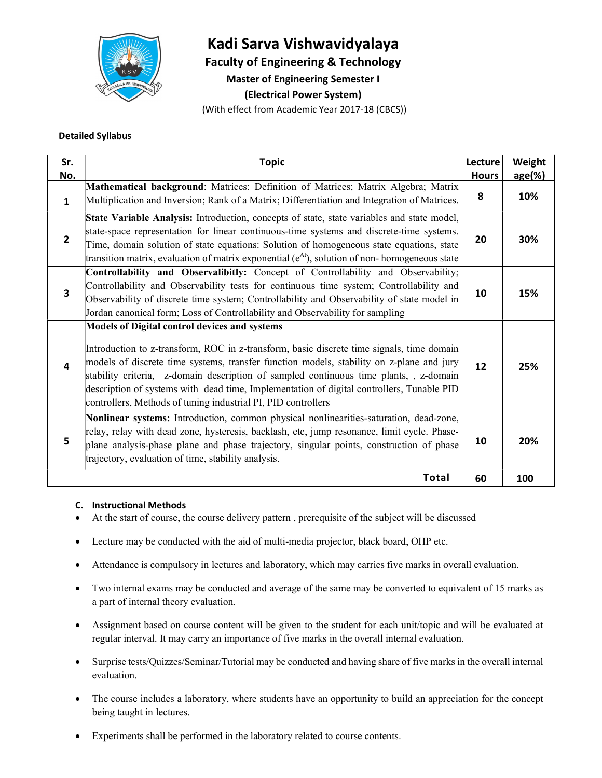

# Kadi Sarva Vishwavidyalaya

Faculty of Engineering & Technology

Master of Engineering Semester I

(Electrical Power System)

(With effect from Academic Year 2017-18 (CBCS))

### Detailed Syllabus

| Sr.<br>No.     | <b>Topic</b>                                                                                                                                                                                                                                                                                                                                                                                                                                                                                        | Lecture<br><b>Hours</b> | Weight<br>age(%) |
|----------------|-----------------------------------------------------------------------------------------------------------------------------------------------------------------------------------------------------------------------------------------------------------------------------------------------------------------------------------------------------------------------------------------------------------------------------------------------------------------------------------------------------|-------------------------|------------------|
| $\mathbf{1}$   | Mathematical background: Matrices: Definition of Matrices; Matrix Algebra; Matrix<br>Multiplication and Inversion; Rank of a Matrix; Differentiation and Integration of Matrices.                                                                                                                                                                                                                                                                                                                   | 8                       | 10%              |
| $\overline{2}$ | State Variable Analysis: Introduction, concepts of state, state variables and state model,<br>state-space representation for linear continuous-time systems and discrete-time systems.<br>Time, domain solution of state equations: Solution of homogeneous state equations, state<br>transition matrix, evaluation of matrix exponential $(e^{At})$ , solution of non-homogeneous state                                                                                                            | 20                      | 30%              |
| 3              | Controllability and Observalibitly: Concept of Controllability and Observability;<br>Controllability and Observability tests for continuous time system; Controllability and<br>Observability of discrete time system; Controllability and Observability of state model in<br>Jordan canonical form; Loss of Controllability and Observability for sampling                                                                                                                                         | 10                      | 15%              |
| 4              | <b>Models of Digital control devices and systems</b><br>Introduction to z-transform, ROC in z-transform, basic discrete time signals, time domain<br>models of discrete time systems, transfer function models, stability on z-plane and jury<br>stability criteria, z-domain description of sampled continuous time plants, z-domain<br>description of systems with dead time, Implementation of digital controllers, Tunable PID<br>controllers, Methods of tuning industrial PI, PID controllers | 12                      | 25%              |
| 5              | Nonlinear systems: Introduction, common physical nonlinearities-saturation, dead-zone,<br>relay, relay with dead zone, hysteresis, backlash, etc, jump resonance, limit cycle. Phase-<br>plane analysis-phase plane and phase trajectory, singular points, construction of phase<br>trajectory, evaluation of time, stability analysis.                                                                                                                                                             | 10                      | 20%              |
|                | Total                                                                                                                                                                                                                                                                                                                                                                                                                                                                                               | 60                      | 100              |

#### C. Instructional Methods

- At the start of course, the course delivery pattern , prerequisite of the subject will be discussed
- Lecture may be conducted with the aid of multi-media projector, black board, OHP etc.
- Attendance is compulsory in lectures and laboratory, which may carries five marks in overall evaluation.
- Two internal exams may be conducted and average of the same may be converted to equivalent of 15 marks as a part of internal theory evaluation.
- Assignment based on course content will be given to the student for each unit/topic and will be evaluated at regular interval. It may carry an importance of five marks in the overall internal evaluation.
- Surprise tests/Quizzes/Seminar/Tutorial may be conducted and having share of five marks in the overall internal evaluation.
- The course includes a laboratory, where students have an opportunity to build an appreciation for the concept being taught in lectures.
- Experiments shall be performed in the laboratory related to course contents.